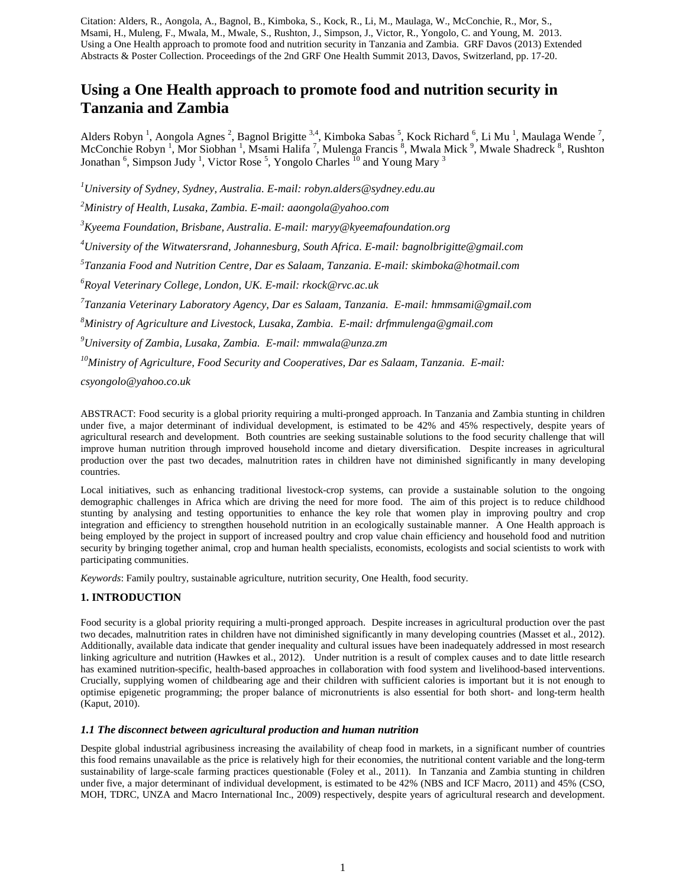# **Using a One Health approach to promote food and nutrition security in Tanzania and Zambia**

Alders Robyn<sup>1</sup>, Aongola Agnes<sup>2</sup>, Bagnol Brigitte<sup>3,4</sup>, Kimboka Sabas<sup>5</sup>, Kock Richard<sup>6</sup>, Li Mu<sup>1</sup>, Maulaga Wende<sup>7</sup>, McConchie Robyn<sup>1</sup>, Mor Siobhan<sup>1</sup>, Msami Halifa<sup>7</sup>, Mulenga Francis<sup>8</sup>, Mwala Mick<sup>9</sup>, Mwale Shadreck<sup>8</sup>, Rushton Jonathan <sup>6</sup>, Simpson Judy <sup>1</sup>, Victor Rose <sup>5</sup>, Yongolo Charles <sup>10</sup> and Young Mary <sup>3</sup>

*1 University of Sydney, Sydney, Australia. E-mail: robyn.alders@sydney.edu.au*

*2 Ministry of Health, Lusaka, Zambia. E-mail[: aaongola@yahoo.com](mailto:aaongola@yahoo.com)*

*3 Kyeema Foundation, Brisbane, Australia. E-mail: [maryy@kyeemafoundation.org](mailto:maryy@kyeemafoundation.org)*

*4 University of the Witwatersrand, Johannesburg, South Africa. E-mail: [bagnolbrigitte@gmail.com](mailto:bagnolbrigitte@gmail.com)*

*5 Tanzania Food and Nutrition Centre, Dar es Salaam, Tanzania. E-mail: [skimboka@hotmail.com](mailto:skimboka@hotmail.com)*

*6 Royal Veterinary College, London, UK. E-mail: [rkock@rvc.ac.uk](mailto:rkock@rvc.ac.uk)*

*7 Tanzania Veterinary Laboratory Agency, Dar es Salaam, Tanzania. E-mail: [hmmsami@gmail.com](mailto:hmmsami@gmail.com)*

*8 Ministry of Agriculture and Livestock, Lusaka, Zambia. E-mail: [drfmmulenga@gmail.com](mailto:drfmmulenga@gmail.com)*

*9 University of Zambia, Lusaka, Zambia. E-mail: [mmwala@unza.zm](mailto:mmwala@unza.zm)*

*10Ministry of Agriculture, Food Security and Cooperatives, Dar es Salaam, Tanzania. E-mail:* 

*csyongolo@yahoo.co.uk*

ABSTRACT: Food security is a global priority requiring a multi-pronged approach. In Tanzania and Zambia stunting in children under five, a major determinant of individual development, is estimated to be 42% and 45% respectively, despite years of agricultural research and development. Both countries are seeking sustainable solutions to the food security challenge that will improve human nutrition through improved household income and dietary diversification. Despite increases in agricultural production over the past two decades, malnutrition rates in children have not diminished significantly in many developing countries.

Local initiatives, such as enhancing traditional livestock-crop systems, can provide a sustainable solution to the ongoing demographic challenges in Africa which are driving the need for more food. The aim of this project is to reduce childhood stunting by analysing and testing opportunities to enhance the key role that women play in improving poultry and crop integration and efficiency to strengthen household nutrition in an ecologically sustainable manner. A One Health approach is being employed by the project in support of increased poultry and crop value chain efficiency and household food and nutrition security by bringing together animal, crop and human health specialists, economists, ecologists and social scientists to work with participating communities.

*Keywords*: Family poultry, sustainable agriculture, nutrition security, One Health, food security.

#### **1. INTRODUCTION**

Food security is a global priority requiring a multi-pronged approach. Despite increases in agricultural production over the past two decades, malnutrition rates in children have not diminished significantly in many developing countries (Masset et al., 2012). Additionally, available data indicate that gender inequality and cultural issues have been inadequately addressed in most research linking agriculture and nutrition (Hawkes et al., 2012). Under nutrition is a result of complex causes and to date little research has examined nutrition-specific, health-based approaches in collaboration with food system and livelihood-based interventions. Crucially, supplying women of childbearing age and their children with sufficient calories is important but it is not enough to optimise epigenetic programming; the proper balance of micronutrients is also essential for both short- and long-term health (Kaput, 2010).

#### *1.1 The disconnect between agricultural production and human nutrition*

Despite global industrial agribusiness increasing the availability of cheap food in markets, in a significant number of countries this food remains unavailable as the price is relatively high for their economies, the nutritional content variable and the long-term sustainability of large-scale farming practices questionable (Foley et al., 2011). In Tanzania and Zambia stunting in children under five, a major determinant of individual development, is estimated to be 42% (NBS and ICF Macro, 2011) and 45% (CSO, MOH, TDRC, UNZA and Macro International Inc., 2009) respectively, despite years of agricultural research and development.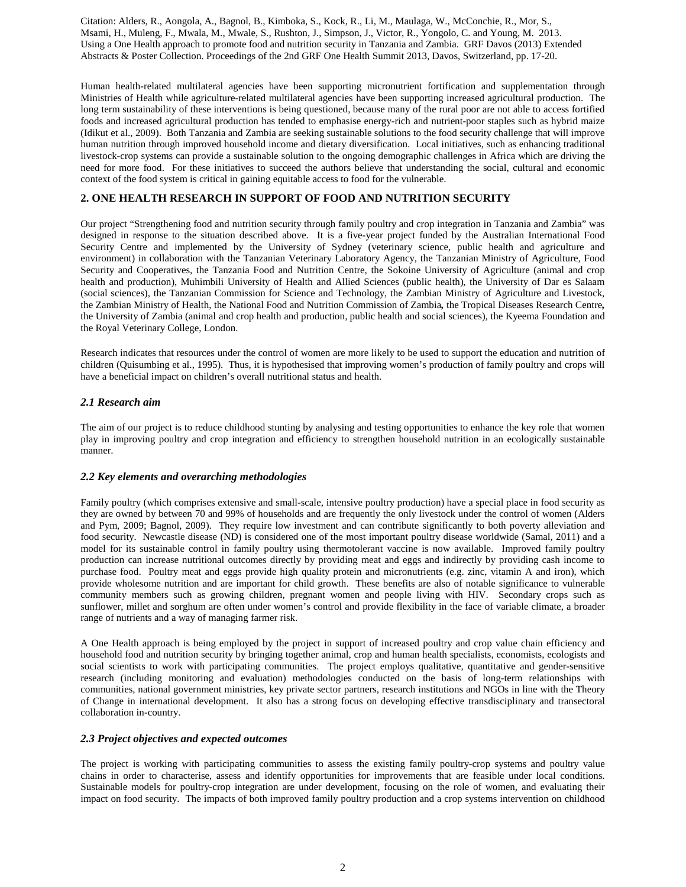Human health-related multilateral agencies have been supporting micronutrient fortification and supplementation through Ministries of Health while agriculture-related multilateral agencies have been supporting increased agricultural production. The long term sustainability of these interventions is being questioned, because many of the rural poor are not able to access fortified foods and increased agricultural production has tended to emphasise energy-rich and nutrient-poor staples such as hybrid maize (Idikut et al., 2009). Both Tanzania and Zambia are seeking sustainable solutions to the food security challenge that will improve human nutrition through improved household income and dietary diversification. Local initiatives, such as enhancing traditional livestock-crop systems can provide a sustainable solution to the ongoing demographic challenges in Africa which are driving the need for more food. For these initiatives to succeed the authors believe that understanding the social, cultural and economic context of the food system is critical in gaining equitable access to food for the vulnerable.

# **2. ONE HEALTH RESEARCH IN SUPPORT OF FOOD AND NUTRITION SECURITY**

Our project "Strengthening food and nutrition security through family poultry and crop integration in Tanzania and Zambia" was designed in response to the situation described above. It is a five-year project funded by the Australian International Food Security Centre and implemented by the University of Sydney (veterinary science, public health and agriculture and environment) in collaboration with the Tanzanian Veterinary Laboratory Agency, the Tanzanian Ministry of Agriculture, Food Security and Cooperatives, the Tanzania Food and Nutrition Centre, the Sokoine University of Agriculture (animal and crop health and production), Muhimbili University of Health and Allied Sciences (public health), the University of Dar es Salaam (social sciences), the Tanzanian Commission for Science and Technology, the Zambian Ministry of Agriculture and Livestock, the Zambian Ministry of Health, the National Food and Nutrition Commission of Zambia*,* the Tropical Diseases Research Centre*,* the University of Zambia (animal and crop health and production, public health and social sciences), the Kyeema Foundation and the Royal Veterinary College, London.

Research indicates that resources under the control of women are more likely to be used to support the education and nutrition of children (Quisumbing et al., 1995). Thus, it is hypothesised that improving women's production of family poultry and crops will have a beneficial impact on children's overall nutritional status and health.

## *2.1 Research aim*

The aim of our project is to reduce childhood stunting by analysing and testing opportunities to enhance the key role that women play in improving poultry and crop integration and efficiency to strengthen household nutrition in an ecologically sustainable manner.

## *2.2 Key elements and overarching methodologies*

Family poultry (which comprises extensive and small-scale, intensive poultry production) have a special place in food security as they are owned by between 70 and 99% of households and are frequently the only livestock under the control of women (Alders and Pym, 2009; Bagnol, 2009). They require low investment and can contribute significantly to both poverty alleviation and food security. Newcastle disease (ND) is considered one of the most important poultry disease worldwide (Samal, 2011) and a model for its sustainable control in family poultry using thermotolerant vaccine is now available. Improved family poultry production can increase nutritional outcomes directly by providing meat and eggs and indirectly by providing cash income to purchase food. Poultry meat and eggs provide high quality protein and micronutrients (e.g. zinc, vitamin A and iron), which provide wholesome nutrition and are important for child growth. These benefits are also of notable significance to vulnerable community members such as growing children, pregnant women and people living with HIV. Secondary crops such as sunflower, millet and sorghum are often under women's control and provide flexibility in the face of variable climate, a broader range of nutrients and a way of managing farmer risk.

A One Health approach is being employed by the project in support of increased poultry and crop value chain efficiency and household food and nutrition security by bringing together animal, crop and human health specialists, economists, ecologists and social scientists to work with participating communities. The project employs qualitative, quantitative and gender-sensitive research (including monitoring and evaluation) methodologies conducted on the basis of long-term relationships with communities, national government ministries, key private sector partners, research institutions and NGOs in line with the Theory of Change in international development. It also has a strong focus on developing effective transdisciplinary and transectoral collaboration in-country.

## *2.3 Project objectives and expected outcomes*

The project is working with participating communities to assess the existing family poultry-crop systems and poultry value chains in order to characterise, assess and identify opportunities for improvements that are feasible under local conditions. Sustainable models for poultry-crop integration are under development, focusing on the role of women, and evaluating their impact on food security. The impacts of both improved family poultry production and a crop systems intervention on childhood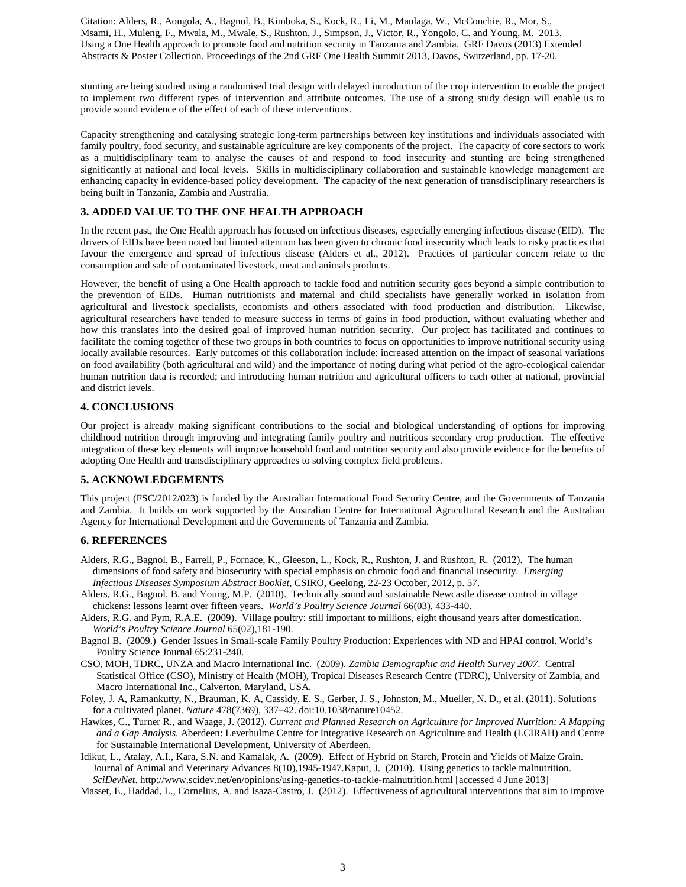stunting are being studied using a randomised trial design with delayed introduction of the crop intervention to enable the project to implement two different types of intervention and attribute outcomes. The use of a strong study design will enable us to provide sound evidence of the effect of each of these interventions.

Capacity strengthening and catalysing strategic long-term partnerships between key institutions and individuals associated with family poultry, food security, and sustainable agriculture are key components of the project. The capacity of core sectors to work as a multidisciplinary team to analyse the causes of and respond to food insecurity and stunting are being strengthened significantly at national and local levels. Skills in multidisciplinary collaboration and sustainable knowledge management are enhancing capacity in evidence-based policy development. The capacity of the next generation of transdisciplinary researchers is being built in Tanzania, Zambia and Australia.

## **3. ADDED VALUE TO THE ONE HEALTH APPROACH**

In the recent past, the One Health approach has focused on infectious diseases, especially emerging infectious disease (EID). The drivers of EIDs have been noted but limited attention has been given to chronic food insecurity which leads to risky practices that favour the emergence and spread of infectious disease (Alders et al., 2012). Practices of particular concern relate to the consumption and sale of contaminated livestock, meat and animals products.

However, the benefit of using a One Health approach to tackle food and nutrition security goes beyond a simple contribution to the prevention of EIDs. Human nutritionists and maternal and child specialists have generally worked in isolation from agricultural and livestock specialists, economists and others associated with food production and distribution. Likewise, agricultural researchers have tended to measure success in terms of gains in food production, without evaluating whether and how this translates into the desired goal of improved human nutrition security. Our project has facilitated and continues to facilitate the coming together of these two groups in both countries to focus on opportunities to improve nutritional security using locally available resources. Early outcomes of this collaboration include: increased attention on the impact of seasonal variations on food availability (both agricultural and wild) and the importance of noting during what period of the agro-ecological calendar human nutrition data is recorded; and introducing human nutrition and agricultural officers to each other at national, provincial and district levels.

# **4. CONCLUSIONS**

Our project is already making significant contributions to the social and biological understanding of options for improving childhood nutrition through improving and integrating family poultry and nutritious secondary crop production. The effective integration of these key elements will improve household food and nutrition security and also provide evidence for the benefits of adopting One Health and transdisciplinary approaches to solving complex field problems.

## **5. ACKNOWLEDGEMENTS**

This project (FSC/2012/023) is funded by the Australian International Food Security Centre, and the Governments of Tanzania and Zambia. It builds on work supported by the Australian Centre for International Agricultural Research and the Australian Agency for International Development and the Governments of Tanzania and Zambia.

## **6. REFERENCES**

- Alders, R.G., Bagnol, B., Farrell, P., Fornace, K., Gleeson, L., Kock, R., Rushton, J. and Rushton, R. (2012). The human dimensions of food safety and biosecurity with special emphasis on chronic food and financial insecurity. *Emerging Infectious Diseases Symposium Abstract Booklet*, CSIRO, Geelong, 22-23 October, 2012, p. 57.
- Alders, R.G., Bagnol, B. and Young, M.P. (2010). Technically sound and sustainable Newcastle disease control in village chickens: lessons learnt over fifteen years. *World's Poultry Science Journal* 66(03), 433-440.
- Alders, R.G. and Pym, R.A.E. (2009). Village poultry: still important to millions, eight thousand years after domestication. *World's Poultry Science Journal* 65(02),181-190.
- Bagnol B. (2009.) Gender Issues in Small-scale Family Poultry Production: Experiences with ND and HPAI control. World's Poultry Science Journal 65:231-240.
- CSO, MOH, TDRC, UNZA and Macro International Inc. (2009). *Zambia Demographic and Health Survey 2007*. Central Statistical Office (CSO), Ministry of Health (MOH), Tropical Diseases Research Centre (TDRC), University of Zambia, and Macro International Inc., Calverton, Maryland, USA.
- Foley, J. A, Ramankutty, N., Brauman, K. A, Cassidy, E. S., Gerber, J. S., Johnston, M., Mueller, N. D., et al. (2011). Solutions for a cultivated planet. *Nature* 478(7369), 337–42. doi:10.1038/nature10452.
- Hawkes, C., Turner R., and Waage, J. (2012). *Current and Planned Research on Agriculture for Improved Nutrition: A Mapping and a Gap Analysis.* Aberdeen: Leverhulme Centre for Integrative Research on Agriculture and Health (LCIRAH) and Centre for Sustainable International Development, University of Aberdeen.
- Idikut, L., Atalay, A.I., Kara, S.N. and Kamalak, A. (2009). Effect of Hybrid on Starch, Protein and Yields of Maize Grain. Journal of Animal and Veterinary Advances 8(10),1945-1947.Kaput, J. (2010). Using genetics to tackle malnutrition. *SciDevNet*. http://www.scidev.net/en/opinions/using-genetics-to-tackle-malnutrition.html [accessed 4 June 2013]
- Masset, E., Haddad, L., Cornelius, A. and Isaza-Castro, J. (2012). Effectiveness of agricultural interventions that aim to improve